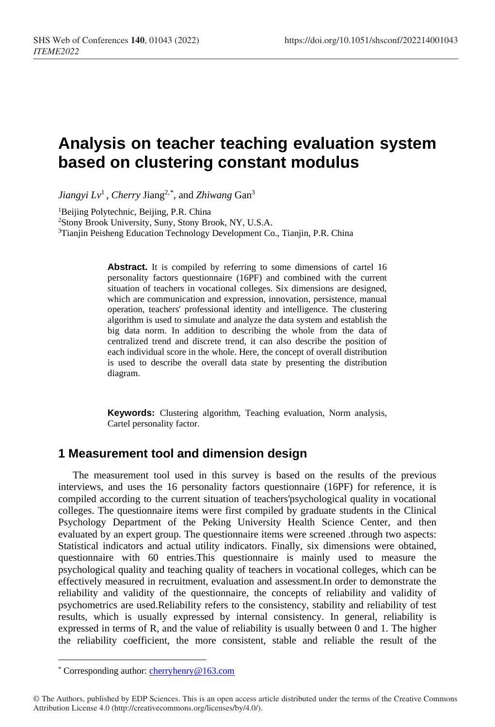# **Analysis on teacher teaching evaluation system based on clustering constant modulus**

*Jiangyi Lv*1 , *Cherry* Jiang2,[\\*](#page-0-0) , and *Zhiwang* Gan3

<sup>1</sup>Beijing Polytechnic, Beijing, P.R. China

2Stony Brook University, Suny, Stony Brook, NY, U.S.A.

<sup>3</sup>Tianjin Peisheng Education Technology Development Co., Tianjin, P.R. China

**Abstract.** It is compiled by referring to some dimensions of cartel 16 personality factors questionnaire (16PF) and combined with the current situation of teachers in vocational colleges. Six dimensions are designed, which are communication and expression, innovation, persistence, manual operation, teachers' professional identity and intelligence. The clustering algorithm is used to simulate and analyze the data system and establish the big data norm. In addition to describing the whole from the data of centralized trend and discrete trend, it can also describe the position of each individual score in the whole. Here, the concept of overall distribution is used to describe the overall data state by presenting the distribution diagram.

**Keywords:** Clustering algorithm, Teaching evaluation, Norm analysis, Cartel personality factor.

### **1 Measurement tool and dimension design**

The measurement tool used in this survey is based on the results of the previous interviews, and uses the 16 personality factors questionnaire (16PF) for reference, it is compiled according to the current situation of teachers'psychological quality in vocational colleges. The questionnaire items were first compiled by graduate students in the Clinical Psychology Department of the Peking University Health Science Center, and then evaluated by an expert group. The questionnaire items were screened .through two aspects: Statistical indicators and actual utility indicators. Finally, six dimensions were obtained, questionnaire with 60 entries.This questionnaire is mainly used to measure the psychological quality and teaching quality of teachers in vocational colleges, which can be effectively measured in recruitment, evaluation and assessment.In order to demonstrate the reliability and validity of the questionnaire, the concepts of reliability and validity of psychometrics are used.Reliability refers to the consistency, stability and reliability of test results, which is usually expressed by internal consistency. In general, reliability is expressed in terms of R, and the value of reliability is usually between 0 and 1. The higher the reliability coefficient, the more consistent, stable and reliable the result of the

 $\overline{a}$ 

<sup>\*</sup> Corresponding author[: cherryhenry@163.com](mailto:cherryhenry@163.com)

<span id="page-0-0"></span><sup>©</sup> The Authors, published by EDP Sciences. This is an open access article distributed under the terms of the Creative Commons Attribution License 4.0 (http://creativecommons.org/licenses/by/4.0/).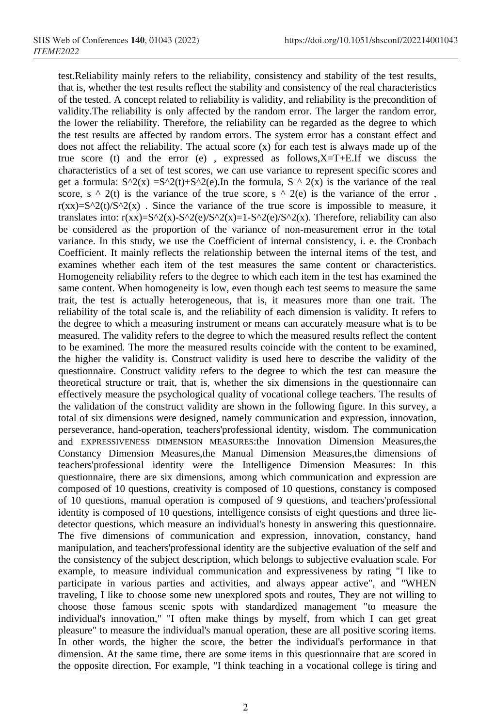test.Reliability mainly refers to the reliability, consistency and stability of the test results, that is, whether the test results reflect the stability and consistency of the real characteristics of the tested. A concept related to reliability is validity, and reliability is the precondition of validity.The reliability is only affected by the random error. The larger the random error, the lower the reliability. Therefore, the reliability can be regarded as the degree to which the test results are affected by random errors. The system error has a constant effect and does not affect the reliability. The actual score (x) for each test is always made up of the true score (t) and the error (e), expressed as follows, $X=T+E$ . If we discuss the characteristics of a set of test scores, we can use variance to represent specific scores and get a formula:  $S^2(x) = S^2(t) + S^2(e)$ . In the formula,  $S^2(0)$  is the variance of the real score, s  $\land$  2(t) is the variance of the true score, s  $\land$  2(e) is the variance of the error,  $r(xx)=S^{\wedge}2(t)/S^{\wedge}2(x)$ . Since the variance of the true score is impossible to measure, it translates into:  $r(xx) = S^2( x) - S^2( e) / S^2( x) = 1 - S^2( e) / S^2( x)$ . Therefore, reliability can also be considered as the proportion of the variance of non-measurement error in the total variance. In this study, we use the Coefficient of internal consistency, i. e. the Cronbach Coefficient. It mainly reflects the relationship between the internal items of the test, and examines whether each item of the test measures the same content or characteristics. Homogeneity reliability refers to the degree to which each item in the test has examined the same content. When homogeneity is low, even though each test seems to measure the same trait, the test is actually heterogeneous, that is, it measures more than one trait. The reliability of the total scale is, and the reliability of each dimension is validity. It refers to the degree to which a measuring instrument or means can accurately measure what is to be measured. The validity refers to the degree to which the measured results reflect the content to be examined. The more the measured results coincide with the content to be examined, the higher the validity is. Construct validity is used here to describe the validity of the questionnaire. Construct validity refers to the degree to which the test can measure the theoretical structure or trait, that is, whether the six dimensions in the questionnaire can effectively measure the psychological quality of vocational college teachers. The results of the validation of the construct validity are shown in the following figure. In this survey, a total of six dimensions were designed, namely communication and expression, innovation, perseverance, hand-operation, teachers'professional identity, wisdom. The communication and EXPRESSIVENESS DIMENSION MEASURES:the Innovation Dimension Measures,the Constancy Dimension Measures,the Manual Dimension Measures,the dimensions of teachers'professional identity were the Intelligence Dimension Measures: In this questionnaire, there are six dimensions, among which communication and expression are composed of 10 questions, creativity is composed of 10 questions, constancy is composed of 10 questions, manual operation is composed of 9 questions, and teachers'professional identity is composed of 10 questions, intelligence consists of eight questions and three liedetector questions, which measure an individual's honesty in answering this questionnaire. The five dimensions of communication and expression, innovation, constancy, hand manipulation, and teachers'professional identity are the subjective evaluation of the self and the consistency of the subject description, which belongs to subjective evaluation scale. For example, to measure individual communication and expressiveness by rating "I like to participate in various parties and activities, and always appear active", and "WHEN traveling, I like to choose some new unexplored spots and routes, They are not willing to choose those famous scenic spots with standardized management "to measure the individual's innovation," "I often make things by myself, from which I can get great pleasure" to measure the individual's manual operation, these are all positive scoring items. In other words, the higher the score, the better the individual's performance in that dimension. At the same time, there are some items in this questionnaire that are scored in the opposite direction, For example, "I think teaching in a vocational college is tiring and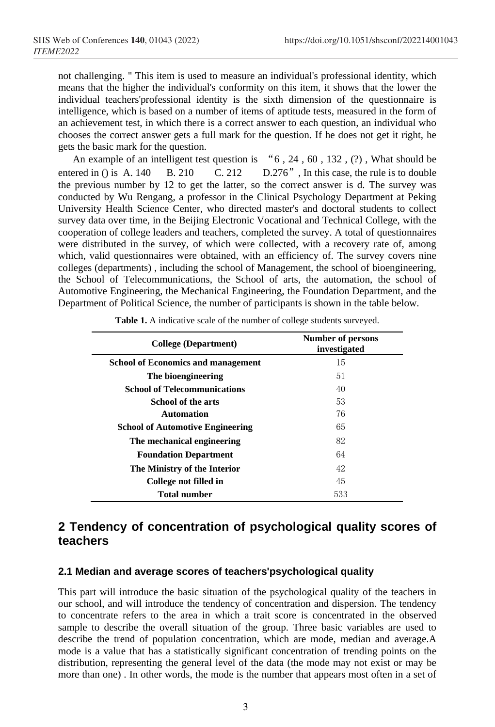not challenging. " This item is used to measure an individual's professional identity, which means that the higher the individual's conformity on this item, it shows that the lower the individual teachers'professional identity is the sixth dimension of the questionnaire is intelligence, which is based on a number of items of aptitude tests, measured in the form of an achievement test, in which there is a correct answer to each question, an individual who chooses the correct answer gets a full mark for the question. If he does not get it right, he gets the basic mark for the question.

An example of an intelligent test question is "6 , 24 , 60 , 132 , (?) , What should be entered in () is A. 140 B. 210 C. 212 D.276", In this case, the rule is to double the previous number by 12 to get the latter, so the correct answer is d. The survey was conducted by Wu Rengang, a professor in the Clinical Psychology Department at Peking University Health Science Center, who directed master's and doctoral students to collect survey data over time, in the Beijing Electronic Vocational and Technical College, with the cooperation of college leaders and teachers, completed the survey. A total of questionnaires were distributed in the survey, of which were collected, with a recovery rate of, among which, valid questionnaires were obtained, with an efficiency of. The survey covers nine colleges (departments) , including the school of Management, the school of bioengineering, the School of Telecommunications, the School of arts, the automation, the school of Automotive Engineering, the Mechanical Engineering, the Foundation Department, and the Department of Political Science, the number of participants is shown in the table below.

| College (Department)                      | <b>Number of persons</b><br>investigated |  |
|-------------------------------------------|------------------------------------------|--|
| <b>School of Economics and management</b> | 15                                       |  |
| The bioengineering                        | 51                                       |  |
| <b>School of Telecommunications</b>       | 40                                       |  |
| School of the arts                        | 53                                       |  |
| <b>Automation</b>                         | 76                                       |  |
| <b>School of Automotive Engineering</b>   | 65                                       |  |
| The mechanical engineering                | 82                                       |  |
| <b>Foundation Department</b>              | 64                                       |  |
| The Ministry of the Interior              | 42                                       |  |
| College not filled in                     | 45                                       |  |
| <b>Total number</b>                       | 533                                      |  |

Table 1. A indicative scale of the number of college students surveyed.

### **2 Tendency of concentration of psychological quality scores of teachers**

#### **2.1 Median and average scores of teachers'psychological quality**

This part will introduce the basic situation of the psychological quality of the teachers in our school, and will introduce the tendency of concentration and dispersion. The tendency to concentrate refers to the area in which a trait score is concentrated in the observed sample to describe the overall situation of the group. Three basic variables are used to describe the trend of population concentration, which are mode, median and average.A mode is a value that has a statistically significant concentration of trending points on the distribution, representing the general level of the data (the mode may not exist or may be more than one) . In other words, the mode is the number that appears most often in a set of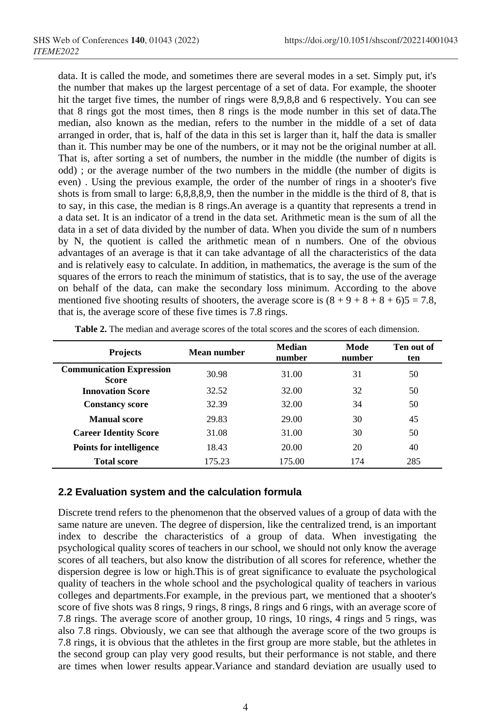data. It is called the mode, and sometimes there are several modes in a set. Simply put, it's the number that makes up the largest percentage of a set of data. For example, the shooter hit the target five times, the number of rings were 8,9,8,8 and 6 respectively. You can see that 8 rings got the most times, then 8 rings is the mode number in this set of data.The median, also known as the median, refers to the number in the middle of a set of data arranged in order, that is, half of the data in this set is larger than it, half the data is smaller than it. This number may be one of the numbers, or it may not be the original number at all. That is, after sorting a set of numbers, the number in the middle (the number of digits is odd) ; or the average number of the two numbers in the middle (the number of digits is even) . Using the previous example, the order of the number of rings in a shooter's five shots is from small to large: 6,8,8,8,9, then the number in the middle is the third of 8, that is to say, in this case, the median is 8 rings.An average is a quantity that represents a trend in a data set. It is an indicator of a trend in the data set. Arithmetic mean is the sum of all the data in a set of data divided by the number of data. When you divide the sum of n numbers by N, the quotient is called the arithmetic mean of n numbers. One of the obvious advantages of an average is that it can take advantage of all the characteristics of the data and is relatively easy to calculate. In addition, in mathematics, the average is the sum of the squares of the errors to reach the minimum of statistics, that is to say, the use of the average on behalf of the data, can make the secondary loss minimum. According to the above mentioned five shooting results of shooters, the average score is  $(8 + 9 + 8 + 8 + 6)5 = 7.8$ , that is, the average score of these five times is 7.8 rings.

| <b>Projects</b>                                 | Mean number | Median<br>number | Mode<br>number | Ten out of<br>ten |
|-------------------------------------------------|-------------|------------------|----------------|-------------------|
| <b>Communication Expression</b><br><b>Score</b> | 30.98       | 31.00            | 31             | 50                |
| <b>Innovation Score</b>                         | 32.52       | 32.00            | 32             | 50                |
| <b>Constancy score</b>                          | 32.39       | 32.00            | 34             | 50                |
| <b>Manual score</b>                             | 29.83       | 29.00            | 30             | 45                |
| <b>Career Identity Score</b>                    | 31.08       | 31.00            | 30             | 50                |
| <b>Points for intelligence</b>                  | 18.43       | 20.00            | 20             | 40                |
| <b>Total score</b>                              | 175.23      | 175.00           | 174            | 285               |

**Table 2.** The median and average scores of the total scores and the scores of each dimension.

#### **2.2 Evaluation system and the calculation formula**

Discrete trend refers to the phenomenon that the observed values of a group of data with the same nature are uneven. The degree of dispersion, like the centralized trend, is an important index to describe the characteristics of a group of data. When investigating the psychological quality scores of teachers in our school, we should not only know the average scores of all teachers, but also know the distribution of all scores for reference, whether the dispersion degree is low or high.This is of great significance to evaluate the psychological quality of teachers in the whole school and the psychological quality of teachers in various colleges and departments.For example, in the previous part, we mentioned that a shooter's score of five shots was 8 rings, 9 rings, 8 rings, 8 rings and 6 rings, with an average score of 7.8 rings. The average score of another group, 10 rings, 10 rings, 4 rings and 5 rings, was also 7.8 rings. Obviously, we can see that although the average score of the two groups is 7.8 rings, it is obvious that the athletes in the first group are more stable, but the athletes in the second group can play very good results, but their performance is not stable, and there are times when lower results appear.Variance and standard deviation are usually used to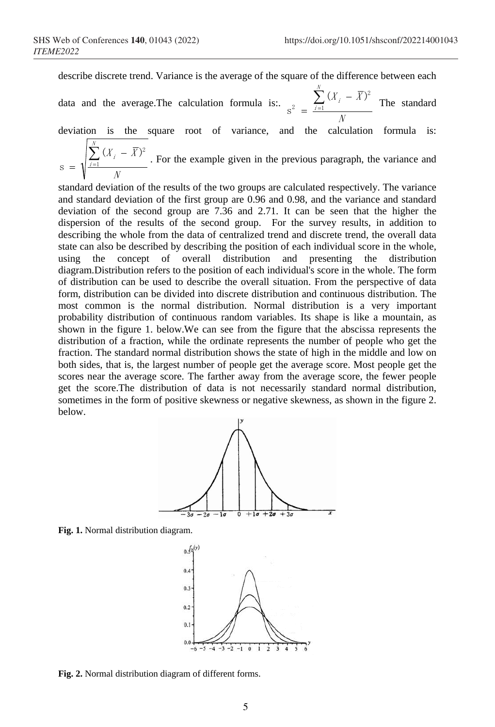describe discrete trend. Variance is the average of the square of the difference between each

data and the average. The calculation formula is:.  $\sum_{i=1}^{N} (X_i - \overline{X})$ N $\sum_{i=1}$   $(X_i$ −  $=$   $\frac{i=1}{i}$ 2 2  $(X_i - \overline{X})^2$  $s^2 = \frac{\sum_{i=1}^{N} x_i - x_i}{N}$  The standard

deviation is the square root of variance, and the calculation formula is:  $\sum^N (X_i - \overline{X})$  $\sum_{i=1}$   $(X_i$ −

N $=$   $\sqrt{\frac{i=1}{i}}$  $S = \sqrt{\frac{\sum_{i=1}^{n} (X_i - \overline{X})^2}{n}}$ . For the example given in the previous paragraph, the variance and

standard deviation of the results of the two groups are calculated respectively. The variance and standard deviation of the first group are 0.96 and 0.98, and the variance and standard deviation of the second group are 7.36 and 2.71. It can be seen that the higher the dispersion of the results of the second group. For the survey results, in addition to describing the whole from the data of centralized trend and discrete trend, the overall data state can also be described by describing the position of each individual score in the whole, using the concept of overall distribution and presenting the distribution diagram.Distribution refers to the position of each individual's score in the whole. The form of distribution can be used to describe the overall situation. From the perspective of data form, distribution can be divided into discrete distribution and continuous distribution. The most common is the normal distribution. Normal distribution is a very important probability distribution of continuous random variables. Its shape is like a mountain, as shown in the figure 1. below.We can see from the figure that the abscissa represents the distribution of a fraction, while the ordinate represents the number of people who get the fraction. The standard normal distribution shows the state of high in the middle and low on both sides, that is, the largest number of people get the average score. Most people get the scores near the average score. The farther away from the average score, the fewer people get the score.The distribution of data is not necessarily standard normal distribution, sometimes in the form of positive skewness or negative skewness, as shown in the figure 2. below.



**Fig. 1.** Normal distribution diagram.



**Fig. 2.** Normal distribution diagram of different forms.